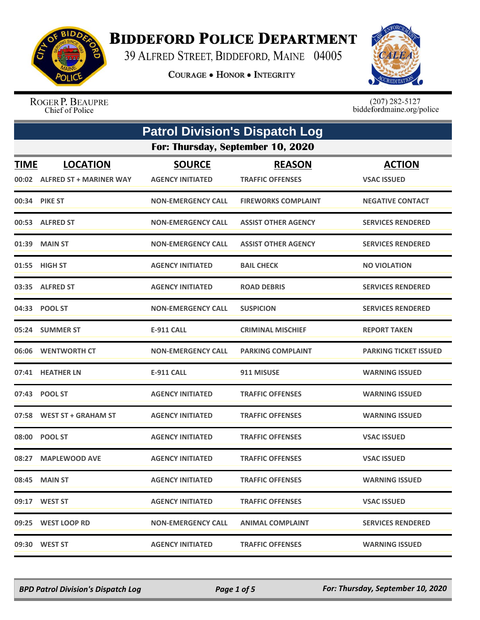

## **BIDDEFORD POLICE DEPARTMENT**

39 ALFRED STREET, BIDDEFORD, MAINE 04005

**COURAGE . HONOR . INTEGRITY** 



ROGER P. BEAUPRE Chief of Police

 $(207)$  282-5127<br>biddefordmaine.org/police

|             | <b>Patrol Division's Dispatch Log</b>            |                                          |                                          |                                     |  |  |
|-------------|--------------------------------------------------|------------------------------------------|------------------------------------------|-------------------------------------|--|--|
|             | For: Thursday, September 10, 2020                |                                          |                                          |                                     |  |  |
| <b>TIME</b> | <b>LOCATION</b><br>00:02 ALFRED ST + MARINER WAY | <b>SOURCE</b><br><b>AGENCY INITIATED</b> | <b>REASON</b><br><b>TRAFFIC OFFENSES</b> | <b>ACTION</b><br><b>VSAC ISSUED</b> |  |  |
|             | 00:34 PIKE ST                                    | <b>NON-EMERGENCY CALL</b>                | <b>FIREWORKS COMPLAINT</b>               | <b>NEGATIVE CONTACT</b>             |  |  |
|             | 00:53 ALFRED ST                                  | <b>NON-EMERGENCY CALL</b>                | <b>ASSIST OTHER AGENCY</b>               | <b>SERVICES RENDERED</b>            |  |  |
|             | 01:39 MAIN ST                                    | <b>NON-EMERGENCY CALL</b>                | <b>ASSIST OTHER AGENCY</b>               | <b>SERVICES RENDERED</b>            |  |  |
|             | 01:55 HIGH ST                                    | <b>AGENCY INITIATED</b>                  | <b>BAIL CHECK</b>                        | <b>NO VIOLATION</b>                 |  |  |
|             | 03:35 ALFRED ST                                  | <b>AGENCY INITIATED</b>                  | <b>ROAD DEBRIS</b>                       | <b>SERVICES RENDERED</b>            |  |  |
|             | 04:33 POOL ST                                    | <b>NON-EMERGENCY CALL</b>                | <b>SUSPICION</b>                         | <b>SERVICES RENDERED</b>            |  |  |
|             | 05:24 SUMMER ST                                  | <b>E-911 CALL</b>                        | <b>CRIMINAL MISCHIEF</b>                 | <b>REPORT TAKEN</b>                 |  |  |
|             | 06:06 WENTWORTH CT                               | <b>NON-EMERGENCY CALL</b>                | <b>PARKING COMPLAINT</b>                 | <b>PARKING TICKET ISSUED</b>        |  |  |
| 07:41       | <b>HEATHER LN</b>                                | <b>E-911 CALL</b>                        | 911 MISUSE                               | <b>WARNING ISSUED</b>               |  |  |
|             | 07:43 POOL ST                                    | <b>AGENCY INITIATED</b>                  | <b>TRAFFIC OFFENSES</b>                  | <b>WARNING ISSUED</b>               |  |  |
| 07:58       | <b>WEST ST + GRAHAM ST</b>                       | <b>AGENCY INITIATED</b>                  | <b>TRAFFIC OFFENSES</b>                  | <b>WARNING ISSUED</b>               |  |  |
|             | 08:00 POOL ST                                    | <b>AGENCY INITIATED</b>                  | <b>TRAFFIC OFFENSES</b>                  | <b>VSAC ISSUED</b>                  |  |  |
| 08:27       | <b>MAPLEWOOD AVE</b>                             | <b>AGENCY INITIATED</b>                  | <b>TRAFFIC OFFENSES</b>                  | <b>VSAC ISSUED</b>                  |  |  |
|             | 08:45 MAIN ST                                    | <b>AGENCY INITIATED</b>                  | <b>TRAFFIC OFFENSES</b>                  | <b>WARNING ISSUED</b>               |  |  |
|             | 09:17 WEST ST                                    | <b>AGENCY INITIATED</b>                  | <b>TRAFFIC OFFENSES</b>                  | <b>VSAC ISSUED</b>                  |  |  |
|             | 09:25 WEST LOOP RD                               | <b>NON-EMERGENCY CALL</b>                | <b>ANIMAL COMPLAINT</b>                  | <b>SERVICES RENDERED</b>            |  |  |
|             | 09:30 WEST ST                                    | <b>AGENCY INITIATED</b>                  | <b>TRAFFIC OFFENSES</b>                  | <b>WARNING ISSUED</b>               |  |  |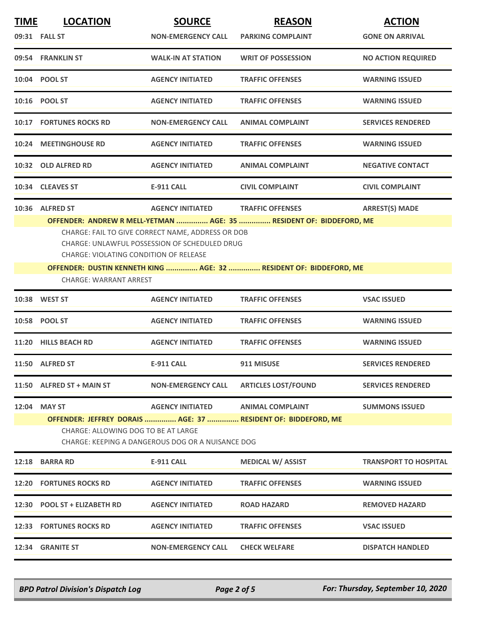| <b>TIME</b>                                                                                                                                  | <b>LOCATION</b>                                                                          | <b>SOURCE</b>                     | <b>REASON</b>                                                       | <b>ACTION</b>                |
|----------------------------------------------------------------------------------------------------------------------------------------------|------------------------------------------------------------------------------------------|-----------------------------------|---------------------------------------------------------------------|------------------------------|
|                                                                                                                                              | 09:31 FALL ST                                                                            | <b>NON-EMERGENCY CALL</b>         | <b>PARKING COMPLAINT</b>                                            | <b>GONE ON ARRIVAL</b>       |
|                                                                                                                                              | 09:54 FRANKLIN ST                                                                        | <b>WALK-IN AT STATION</b>         | <b>WRIT OF POSSESSION</b>                                           | <b>NO ACTION REQUIRED</b>    |
|                                                                                                                                              | 10:04 POOL ST                                                                            | <b>AGENCY INITIATED</b>           | <b>TRAFFIC OFFENSES</b>                                             | <b>WARNING ISSUED</b>        |
|                                                                                                                                              | 10:16 POOL ST                                                                            | <b>AGENCY INITIATED</b>           | <b>TRAFFIC OFFENSES</b>                                             | <b>WARNING ISSUED</b>        |
|                                                                                                                                              | <b>10:17 FORTUNES ROCKS RD</b>                                                           | <b>NON-EMERGENCY CALL</b>         | <b>ANIMAL COMPLAINT</b>                                             | <b>SERVICES RENDERED</b>     |
|                                                                                                                                              | 10:24 MEETINGHOUSE RD                                                                    | <b>AGENCY INITIATED</b>           | <b>TRAFFIC OFFENSES</b>                                             | <b>WARNING ISSUED</b>        |
|                                                                                                                                              | 10:32 OLD ALFRED RD                                                                      | <b>AGENCY INITIATED</b>           | <b>ANIMAL COMPLAINT</b>                                             | <b>NEGATIVE CONTACT</b>      |
|                                                                                                                                              | 10:34 CLEAVES ST                                                                         | <b>E-911 CALL</b>                 | <b>CIVIL COMPLAINT</b>                                              | <b>CIVIL COMPLAINT</b>       |
|                                                                                                                                              | 10:36 ALFRED ST                                                                          | <b>AGENCY INITIATED</b>           | <b>TRAFFIC OFFENSES</b>                                             | <b>ARREST(S) MADE</b>        |
|                                                                                                                                              |                                                                                          |                                   | OFFENDER: ANDREW R MELL-YETMAN  AGE: 35  RESIDENT OF: BIDDEFORD, ME |                              |
| CHARGE: FAIL TO GIVE CORRECT NAME, ADDRESS OR DOB<br>CHARGE: UNLAWFUL POSSESSION OF SCHEDULED DRUG<br>CHARGE: VIOLATING CONDITION OF RELEASE |                                                                                          |                                   |                                                                     |                              |
|                                                                                                                                              |                                                                                          |                                   | OFFENDER: DUSTIN KENNETH KING  AGE: 32  RESIDENT OF: BIDDEFORD, ME  |                              |
| <b>CHARGE: WARRANT ARREST</b>                                                                                                                |                                                                                          |                                   |                                                                     |                              |
|                                                                                                                                              | 10:38 WEST ST                                                                            | <b>AGENCY INITIATED</b>           | <b>TRAFFIC OFFENSES</b>                                             | <b>VSAC ISSUED</b>           |
|                                                                                                                                              | 10:58 POOL ST                                                                            | <b>AGENCY INITIATED</b>           | <b>TRAFFIC OFFENSES</b>                                             | <b>WARNING ISSUED</b>        |
|                                                                                                                                              | 11:20 HILLS BEACH RD                                                                     | <b>AGENCY INITIATED</b>           | <b>TRAFFIC OFFENSES</b>                                             | <b>WARNING ISSUED</b>        |
|                                                                                                                                              | 11:50 ALFRED ST                                                                          | E-911 CALL                        | 911 MISUSE                                                          | <b>SERVICES RENDERED</b>     |
|                                                                                                                                              | 11:50 ALFRED ST + MAIN ST                                                                | <b>NON-EMERGENCY CALL</b>         | <b>ARTICLES LOST/FOUND</b>                                          | <b>SERVICES RENDERED</b>     |
|                                                                                                                                              | 12:04 MAY ST                                                                             | AGENCY INITIATED ANIMAL COMPLAINT |                                                                     | <b>SUMMONS ISSUED</b>        |
|                                                                                                                                              |                                                                                          |                                   | OFFENDER: JEFFREY DORAIS  AGE: 37  RESIDENT OF: BIDDEFORD, ME       |                              |
|                                                                                                                                              | CHARGE: ALLOWING DOG TO BE AT LARGE<br>CHARGE: KEEPING A DANGEROUS DOG OR A NUISANCE DOG |                                   |                                                                     |                              |
|                                                                                                                                              | 12:18 BARRA RD                                                                           | <b>E-911 CALL</b>                 | <b>MEDICAL W/ ASSIST</b>                                            | <b>TRANSPORT TO HOSPITAL</b> |
|                                                                                                                                              | <b>12:20 FORTUNES ROCKS RD</b>                                                           | <b>AGENCY INITIATED</b>           | <b>TRAFFIC OFFENSES</b>                                             | <b>WARNING ISSUED</b>        |
|                                                                                                                                              | 12:30 POOL ST + ELIZABETH RD                                                             | <b>AGENCY INITIATED</b>           | <b>ROAD HAZARD</b>                                                  | <b>REMOVED HAZARD</b>        |
|                                                                                                                                              | <b>12:33 FORTUNES ROCKS RD</b>                                                           | <b>AGENCY INITIATED</b>           | <b>TRAFFIC OFFENSES</b>                                             | <b>VSAC ISSUED</b>           |
|                                                                                                                                              | 12:34 GRANITE ST                                                                         | <b>NON-EMERGENCY CALL</b>         | <b>CHECK WELFARE</b>                                                | <b>DISPATCH HANDLED</b>      |
|                                                                                                                                              |                                                                                          |                                   |                                                                     |                              |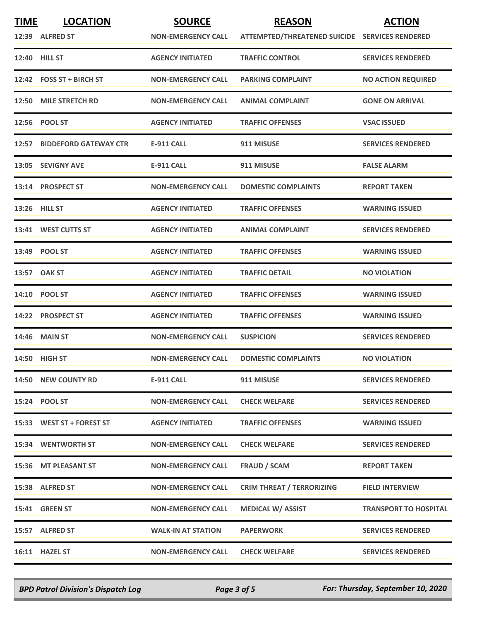| <b>TIME</b> | <b>LOCATION</b>             | <b>SOURCE</b>             | <b>REASON</b>                                  | <b>ACTION</b>                |
|-------------|-----------------------------|---------------------------|------------------------------------------------|------------------------------|
|             | 12:39 ALFRED ST             | <b>NON-EMERGENCY CALL</b> | ATTEMPTED/THREATENED SUICIDE SERVICES RENDERED |                              |
|             | 12:40 HILL ST               | <b>AGENCY INITIATED</b>   | <b>TRAFFIC CONTROL</b>                         | <b>SERVICES RENDERED</b>     |
|             | 12:42 FOSS ST + BIRCH ST    | <b>NON-EMERGENCY CALL</b> | <b>PARKING COMPLAINT</b>                       | <b>NO ACTION REQUIRED</b>    |
|             | 12:50 MILE STRETCH RD       | <b>NON-EMERGENCY CALL</b> | <b>ANIMAL COMPLAINT</b>                        | <b>GONE ON ARRIVAL</b>       |
|             | 12:56 POOL ST               | <b>AGENCY INITIATED</b>   | <b>TRAFFIC OFFENSES</b>                        | <b>VSAC ISSUED</b>           |
|             | 12:57 BIDDEFORD GATEWAY CTR | <b>E-911 CALL</b>         | 911 MISUSE                                     | <b>SERVICES RENDERED</b>     |
|             | 13:05 SEVIGNY AVE           | <b>E-911 CALL</b>         | 911 MISUSE                                     | <b>FALSE ALARM</b>           |
|             | 13:14 PROSPECT ST           | <b>NON-EMERGENCY CALL</b> | <b>DOMESTIC COMPLAINTS</b>                     | <b>REPORT TAKEN</b>          |
|             | 13:26 HILL ST               | <b>AGENCY INITIATED</b>   | <b>TRAFFIC OFFENSES</b>                        | <b>WARNING ISSUED</b>        |
|             | 13:41 WEST CUTTS ST         | <b>AGENCY INITIATED</b>   | <b>ANIMAL COMPLAINT</b>                        | <b>SERVICES RENDERED</b>     |
|             | 13:49 POOL ST               | <b>AGENCY INITIATED</b>   | <b>TRAFFIC OFFENSES</b>                        | <b>WARNING ISSUED</b>        |
|             | 13:57 OAK ST                | <b>AGENCY INITIATED</b>   | <b>TRAFFIC DETAIL</b>                          | <b>NO VIOLATION</b>          |
|             | 14:10 POOL ST               | <b>AGENCY INITIATED</b>   | <b>TRAFFIC OFFENSES</b>                        | <b>WARNING ISSUED</b>        |
|             | 14:22 PROSPECT ST           | <b>AGENCY INITIATED</b>   | <b>TRAFFIC OFFENSES</b>                        | <b>WARNING ISSUED</b>        |
|             | 14:46 MAIN ST               | <b>NON-EMERGENCY CALL</b> | <b>SUSPICION</b>                               | <b>SERVICES RENDERED</b>     |
|             | <b>14:50 HIGH ST</b>        | <b>NON-EMERGENCY CALL</b> | <b>DOMESTIC COMPLAINTS</b>                     | <b>NO VIOLATION</b>          |
|             | 14:50 NEW COUNTY RD         | <b>E-911 CALL</b>         | 911 MISUSE                                     | <b>SERVICES RENDERED</b>     |
|             | 15:24 POOL ST               | <b>NON-EMERGENCY CALL</b> | <b>CHECK WELFARE</b>                           | <b>SERVICES RENDERED</b>     |
|             | 15:33 WEST ST + FOREST ST   | <b>AGENCY INITIATED</b>   | <b>TRAFFIC OFFENSES</b>                        | <b>WARNING ISSUED</b>        |
|             | 15:34 WENTWORTH ST          | <b>NON-EMERGENCY CALL</b> | <b>CHECK WELFARE</b>                           | <b>SERVICES RENDERED</b>     |
|             | 15:36 MT PLEASANT ST        | <b>NON-EMERGENCY CALL</b> | <b>FRAUD / SCAM</b>                            | <b>REPORT TAKEN</b>          |
|             | 15:38 ALFRED ST             | <b>NON-EMERGENCY CALL</b> | <b>CRIM THREAT / TERRORIZING</b>               | <b>FIELD INTERVIEW</b>       |
|             | 15:41 GREEN ST              | <b>NON-EMERGENCY CALL</b> | <b>MEDICAL W/ ASSIST</b>                       | <b>TRANSPORT TO HOSPITAL</b> |
|             | 15:57 ALFRED ST             | <b>WALK-IN AT STATION</b> | <b>PAPERWORK</b>                               | <b>SERVICES RENDERED</b>     |
|             | 16:11 HAZEL ST              | <b>NON-EMERGENCY CALL</b> | <b>CHECK WELFARE</b>                           | <b>SERVICES RENDERED</b>     |

*BPD Patrol Division's Dispatch Log Page 3 of 5 For: Thursday, September 10, 2020*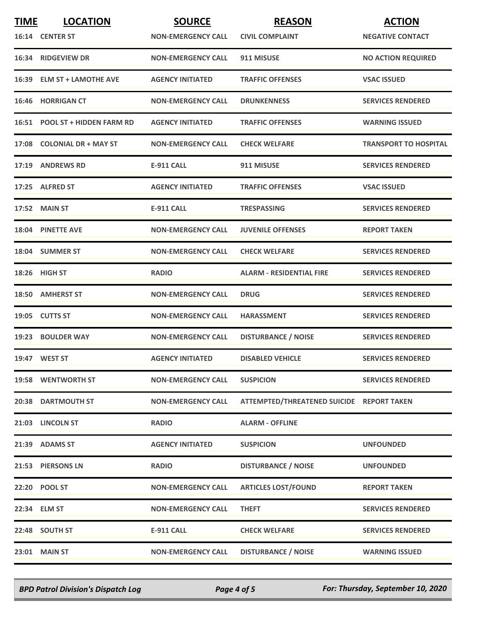| <b>TIME</b> | <b>LOCATION</b>                | <b>SOURCE</b>             | <b>REASON</b>                             | <b>ACTION</b>                |
|-------------|--------------------------------|---------------------------|-------------------------------------------|------------------------------|
|             | 16:14 CENTER ST                | <b>NON-EMERGENCY CALL</b> | <b>CIVIL COMPLAINT</b>                    | <b>NEGATIVE CONTACT</b>      |
|             | 16:34 RIDGEVIEW DR             | <b>NON-EMERGENCY CALL</b> | 911 MISUSE                                | <b>NO ACTION REQUIRED</b>    |
|             | 16:39 ELM ST + LAMOTHE AVE     | <b>AGENCY INITIATED</b>   | <b>TRAFFIC OFFENSES</b>                   | <b>VSAC ISSUED</b>           |
|             | <b>16:46 HORRIGAN CT</b>       | <b>NON-EMERGENCY CALL</b> | <b>DRUNKENNESS</b>                        | <b>SERVICES RENDERED</b>     |
|             | 16:51 POOL ST + HIDDEN FARM RD | <b>AGENCY INITIATED</b>   | <b>TRAFFIC OFFENSES</b>                   | <b>WARNING ISSUED</b>        |
|             | 17:08 COLONIAL DR + MAY ST     | <b>NON-EMERGENCY CALL</b> | <b>CHECK WELFARE</b>                      | <b>TRANSPORT TO HOSPITAL</b> |
|             | 17:19 ANDREWS RD               | <b>E-911 CALL</b>         | 911 MISUSE                                | <b>SERVICES RENDERED</b>     |
|             | 17:25 ALFRED ST                | <b>AGENCY INITIATED</b>   | <b>TRAFFIC OFFENSES</b>                   | <b>VSAC ISSUED</b>           |
|             | <b>17:52 MAIN ST</b>           | <b>E-911 CALL</b>         | <b>TRESPASSING</b>                        | <b>SERVICES RENDERED</b>     |
|             | 18:04 PINETTE AVE              | <b>NON-EMERGENCY CALL</b> | <b>JUVENILE OFFENSES</b>                  | <b>REPORT TAKEN</b>          |
|             | 18:04 SUMMER ST                | <b>NON-EMERGENCY CALL</b> | <b>CHECK WELFARE</b>                      | <b>SERVICES RENDERED</b>     |
|             | 18:26 HIGH ST                  | <b>RADIO</b>              | <b>ALARM - RESIDENTIAL FIRE</b>           | <b>SERVICES RENDERED</b>     |
|             | 18:50 AMHERST ST               | <b>NON-EMERGENCY CALL</b> | <b>DRUG</b>                               | <b>SERVICES RENDERED</b>     |
|             | 19:05 CUTTS ST                 | <b>NON-EMERGENCY CALL</b> | <b>HARASSMENT</b>                         | <b>SERVICES RENDERED</b>     |
|             | 19:23 BOULDER WAY              | <b>NON-EMERGENCY CALL</b> | <b>DISTURBANCE / NOISE</b>                | <b>SERVICES RENDERED</b>     |
|             | 19:47 WEST ST                  | <b>AGENCY INITIATED</b>   | <b>DISABLED VEHICLE</b>                   | <b>SERVICES RENDERED</b>     |
|             | 19:58 WENTWORTH ST             | <b>NON-EMERGENCY CALL</b> | <b>SUSPICION</b>                          | <b>SERVICES RENDERED</b>     |
|             | <b>20:38 DARTMOUTH ST</b>      | <b>NON-EMERGENCY CALL</b> | ATTEMPTED/THREATENED SUICIDE REPORT TAKEN |                              |
|             | 21:03 LINCOLN ST               | <b>RADIO</b>              | <b>ALARM - OFFLINE</b>                    |                              |
|             | 21:39 ADAMS ST                 | <b>AGENCY INITIATED</b>   | <b>SUSPICION</b>                          | <b>UNFOUNDED</b>             |
|             | 21:53 PIERSONS LN              | <b>RADIO</b>              | <b>DISTURBANCE / NOISE</b>                | <b>UNFOUNDED</b>             |
|             | 22:20 POOL ST                  | <b>NON-EMERGENCY CALL</b> | <b>ARTICLES LOST/FOUND</b>                | <b>REPORT TAKEN</b>          |
|             | 22:34 ELM ST                   | <b>NON-EMERGENCY CALL</b> | <b>THEFT</b>                              | <b>SERVICES RENDERED</b>     |
|             | 22:48 SOUTH ST                 | <b>E-911 CALL</b>         | <b>CHECK WELFARE</b>                      | <b>SERVICES RENDERED</b>     |
|             | 23:01 MAIN ST                  | <b>NON-EMERGENCY CALL</b> | <b>DISTURBANCE / NOISE</b>                | <b>WARNING ISSUED</b>        |

*BPD Patrol Division's Dispatch Log Page 4 of 5 For: Thursday, September 10, 2020*